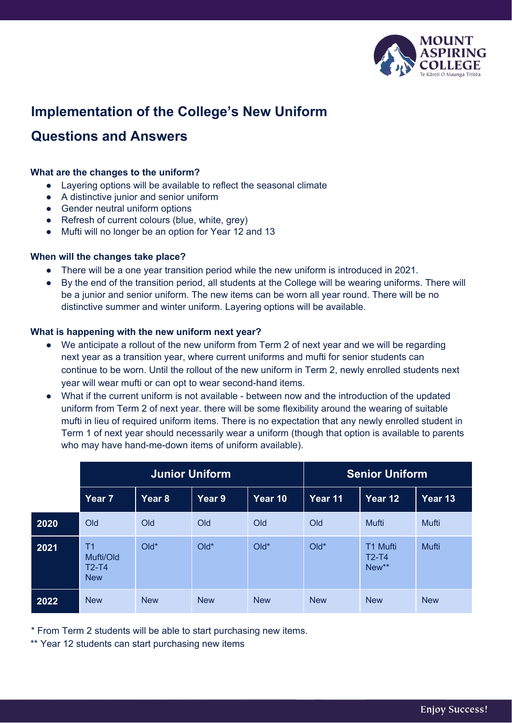

# **Implementation of the College's New Uniform**

# **Questions and Answers**

# **What are the changes to the uniform?**

- Layering options will be available to reflect the seasonal climate
- A distinctive junior and senior uniform
- Gender neutral uniform options
- Refresh of current colours (blue, white, grey)
- Mufti will no longer be an option for Year 12 and 13

# **When will the changes take place?**

- There will be a one year transition period while the new uniform is introduced in 2021.
- By the end of the transition period, all students at the College will be wearing uniforms. There will be a junior and senior uniform. The new items can be worn all year round. There will be no distinctive summer and winter uniform. Layering options will be available.

# **What is happening with the new uniform next year?**

- We anticipate a rollout of the new uniform from Term 2 of next year and we will be regarding next year as a transition year, where current uniforms and mufti for senior students can continue to be worn. Until the rollout of the new uniform in Term 2, newly enrolled students next year will wear mufti or can opt to wear second-hand items.
- What if the current uniform is not available between now and the introduction of the updated uniform from Term 2 of next year. there will be some flexibility around the wearing of suitable mufti in lieu of required uniform items. There is no expectation that any newly enrolled student in Term 1 of next year should necessarily wear a uniform (though that option is available to parents who may have hand-me-down items of uniform available).

|      | <b>Junior Uniform</b>                                |            |            |            | <b>Senior Uniform</b> |                              |            |
|------|------------------------------------------------------|------------|------------|------------|-----------------------|------------------------------|------------|
|      | Year <sub>7</sub>                                    | Year 8     | Year 9     | Year 10    | Year 11               | Year 12                      | Year 13    |
| 2020 | Old                                                  | Old        | Old        | Old        | Old                   | Mufti                        | Mufti      |
| 2021 | T <sub>1</sub><br>Mufti/Old<br>$T2-T4$<br><b>New</b> | $Old*$     | $Old*$     | $Old*$     | $Old*$                | T1 Mufti<br>$T2-T4$<br>New** | Mufti      |
| 2022 | <b>New</b>                                           | <b>New</b> | <b>New</b> | <b>New</b> | <b>New</b>            | <b>New</b>                   | <b>New</b> |

\* From Term 2 students will be able to start purchasing new items.

\*\* Year 12 students can start purchasing new items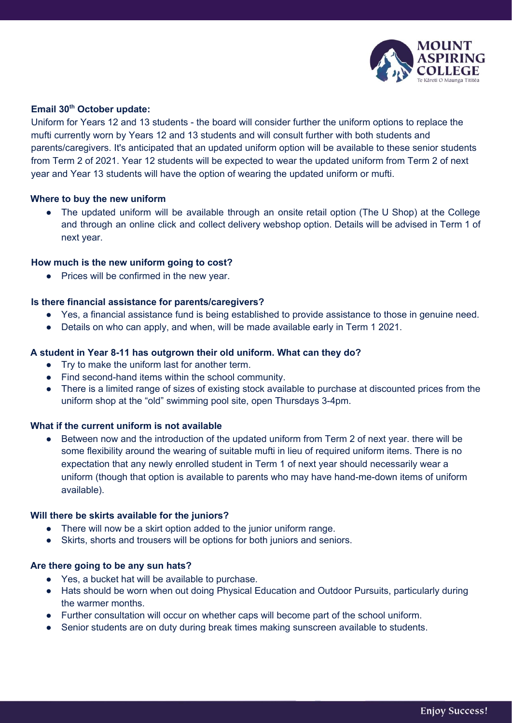

# **Email 30 th October update:**

Uniform for Years 12 and 13 students - the board will consider further the uniform options to replace the mufti currently worn by Years 12 and 13 students and will consult further with both students and parents/caregivers. It's anticipated that an updated uniform option will be available to these senior students from Term 2 of 2021. Year 12 students will be expected to wear the updated uniform from Term 2 of next year and Year 13 students will have the option of wearing the updated uniform or mufti.

### **Where to buy the new uniform**

The updated uniform will be available through an onsite retail option (The U Shop) at the College and through an online click and collect delivery webshop option. Details will be advised in Term 1 of next year.

# **How much is the new uniform going to cost?**

• Prices will be confirmed in the new year.

# **Is there financial assistance for parents/caregivers?**

- Yes, a financial assistance fund is being established to provide assistance to those in genuine need.
- Details on who can apply, and when, will be made available early in Term 1 2021.

# **A student in Year 8-11 has outgrown their old uniform. What can they do?**

- Try to make the uniform last for another term.
- Find second-hand items within the school community.
- There is a limited range of sizes of existing stock available to purchase at discounted prices from the uniform shop at the "old" swimming pool site, open Thursdays 3-4pm.

#### **What if the current uniform is not available**

• Between now and the introduction of the updated uniform from Term 2 of next year. there will be some flexibility around the wearing of suitable mufti in lieu of required uniform items. There is no expectation that any newly enrolled student in Term 1 of next year should necessarily wear a uniform (though that option is available to parents who may have hand-me-down items of uniform available).

#### **Will there be skirts available for the juniors?**

- There will now be a skirt option added to the junior uniform range.
- Skirts, shorts and trousers will be options for both juniors and seniors.

#### **Are there going to be any sun hats?**

- Yes, a bucket hat will be available to purchase.
- Hats should be worn when out doing Physical Education and Outdoor Pursuits, particularly during the warmer months.
- Further consultation will occur on whether caps will become part of the school uniform.
- Senior students are on duty during break times making sunscreen available to students.